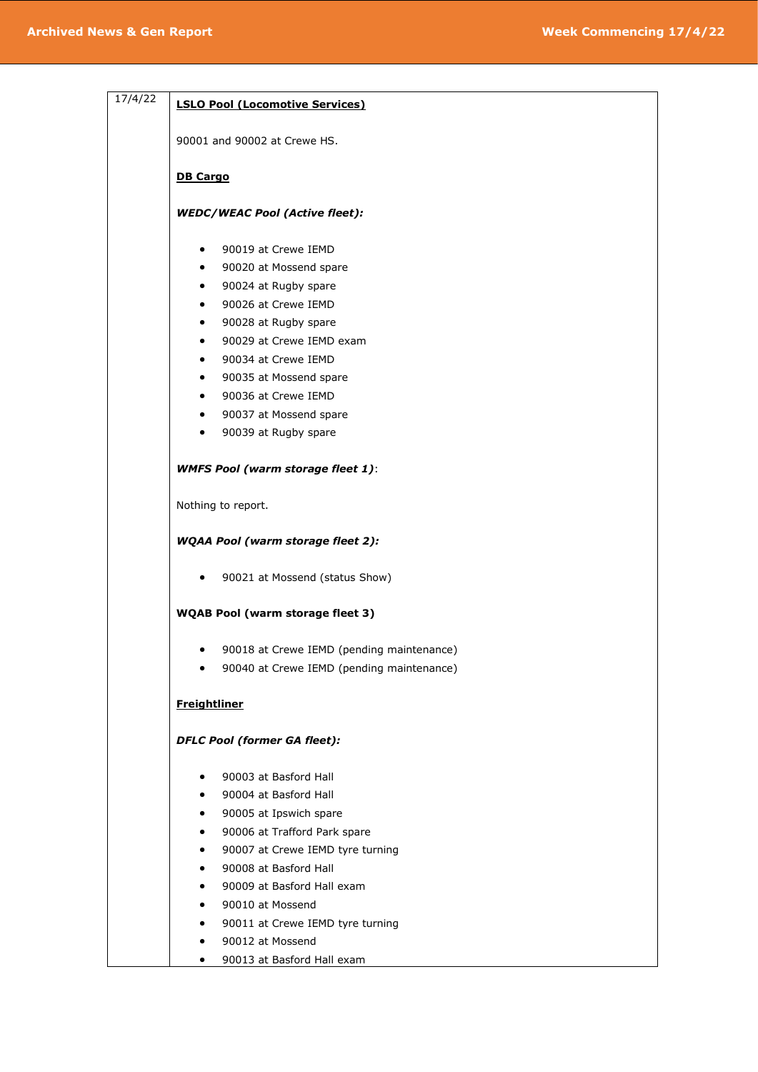| 17/4/22 | <b>LSLO Pool (Locomotive Services)</b>         |
|---------|------------------------------------------------|
|         |                                                |
|         | 90001 and 90002 at Crewe HS.                   |
|         | <b>DB Cargo</b>                                |
|         | <b>WEDC/WEAC Pool (Active fleet):</b>          |
|         | 90019 at Crewe IEMD<br>٠                       |
|         | 90020 at Mossend spare<br>$\bullet$            |
|         | 90024 at Rugby spare<br>$\bullet$              |
|         | 90026 at Crewe IEMD<br>$\bullet$               |
|         | 90028 at Rugby spare<br>$\bullet$              |
|         | 90029 at Crewe IEMD exam<br>$\bullet$          |
|         | 90034 at Crewe IEMD<br>$\bullet$               |
|         | • 90035 at Mossend spare                       |
|         | • 90036 at Crewe IEMD                          |
|         | • 90037 at Mossend spare                       |
|         | 90039 at Rugby spare<br>$\bullet$              |
|         | <b>WMFS Pool (warm storage fleet 1):</b>       |
|         | Nothing to report.                             |
|         | <b>WQAA Pool (warm storage fleet 2):</b>       |
|         | 90021 at Mossend (status Show)<br>٠            |
|         | <b>WQAB Pool (warm storage fleet 3)</b>        |
|         | 90018 at Crewe IEMD (pending maintenance)<br>٠ |
|         | 90040 at Crewe IEMD (pending maintenance)      |
|         | <b>Freightliner</b>                            |
|         | <b>DFLC Pool (former GA fleet):</b>            |
|         | 90003 at Basford Hall<br>٠                     |
|         | 90004 at Basford Hall<br>$\bullet$             |
|         | 90005 at Ipswich spare<br>٠                    |
|         | 90006 at Trafford Park spare<br>٠              |
|         | 90007 at Crewe IEMD tyre turning<br>٠          |
|         | 90008 at Basford Hall<br>$\bullet$             |
|         | 90009 at Basford Hall exam<br>$\bullet$        |
|         | 90010 at Mossend                               |
|         | ٠                                              |
|         | 90011 at Crewe IEMD tyre turning               |

- 90012 at Mossend
- 90013 at Basford Hall exam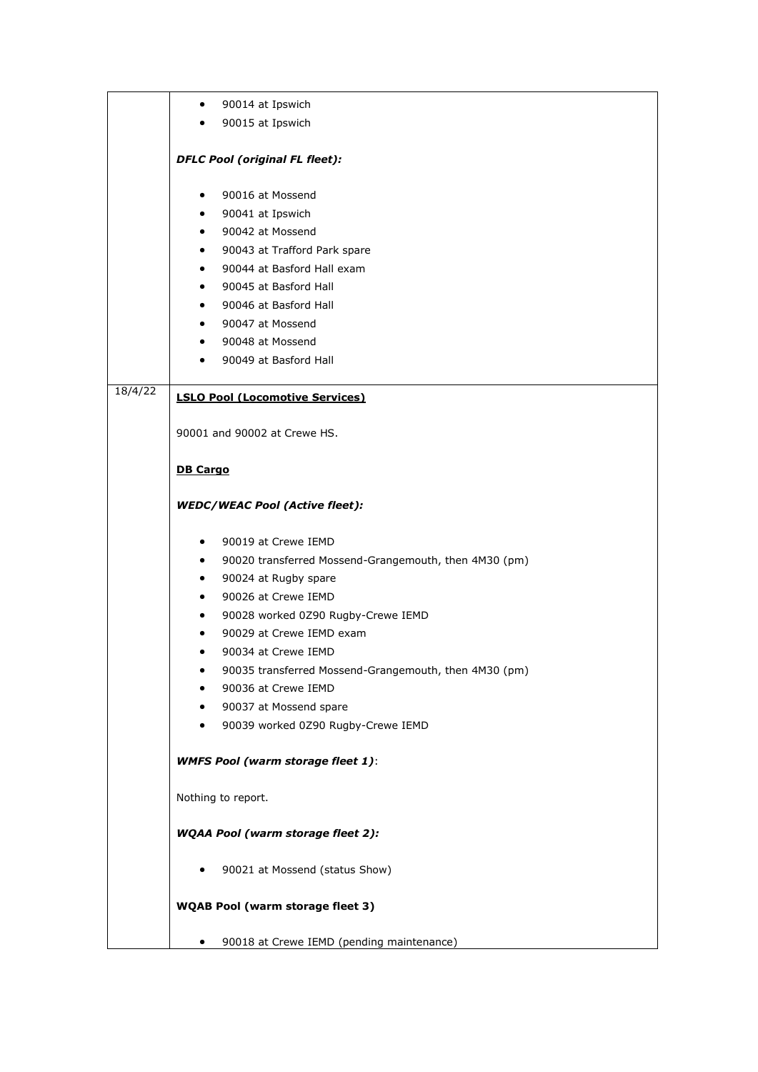|         | 90014 at Ipswich<br>٠                                      |
|---------|------------------------------------------------------------|
|         | 90015 at Ipswich<br>$\bullet$                              |
|         |                                                            |
|         | <b>DFLC Pool (original FL fleet):</b>                      |
|         | 90016 at Mossend<br>٠                                      |
|         | 90041 at Ipswich<br>$\bullet$                              |
|         | 90042 at Mossend<br>$\bullet$                              |
|         | 90043 at Trafford Park spare<br>$\bullet$                  |
|         | 90044 at Basford Hall exam<br>$\bullet$                    |
|         | 90045 at Basford Hall<br>٠                                 |
|         | 90046 at Basford Hall<br>$\bullet$                         |
|         | 90047 at Mossend<br>٠                                      |
|         | 90048 at Mossend<br>٠                                      |
|         | 90049 at Basford Hall<br>٠                                 |
| 18/4/22 | <b>LSLO Pool (Locomotive Services)</b>                     |
|         | 90001 and 90002 at Crewe HS.                               |
|         | <b>DB Cargo</b>                                            |
|         |                                                            |
|         | <b>WEDC/WEAC Pool (Active fleet):</b>                      |
|         | 90019 at Crewe IEMD<br>$\bullet$                           |
|         | 90020 transferred Mossend-Grangemouth, then 4M30 (pm)<br>٠ |
|         | 90024 at Rugby spare<br>٠                                  |
|         | 90026 at Crewe IEMD<br>$\bullet$                           |
|         | 90028 worked 0Z90 Rugby-Crewe IEMD                         |
|         | 90029 at Crewe IEMD exam<br>٠                              |
|         | 90034 at Crewe IEMD<br>٠                                   |
|         | 90035 transferred Mossend-Grangemouth, then 4M30 (pm)      |
|         | 90036 at Crewe IEMD                                        |
|         | 90037 at Mossend spare                                     |
|         | 90039 worked 0Z90 Rugby-Crewe IEMD<br>٠                    |
|         | <b>WMFS Pool (warm storage fleet 1):</b>                   |
|         | Nothing to report.                                         |
|         | <b>WQAA Pool (warm storage fleet 2):</b>                   |
|         | 90021 at Mossend (status Show)<br>٠                        |
|         | <b>WQAB Pool (warm storage fleet 3)</b>                    |
|         |                                                            |
|         | 90018 at Crewe IEMD (pending maintenance)<br>$\bullet$     |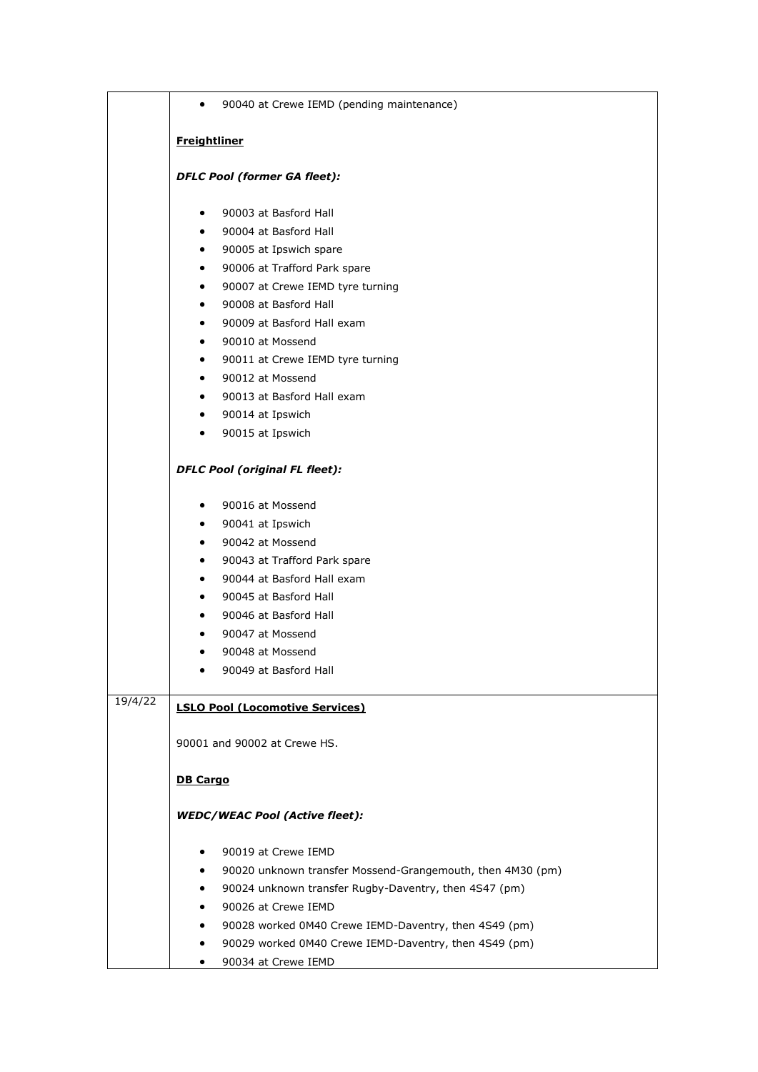|         | 90040 at Crewe IEMD (pending maintenance)<br>$\bullet$                  |
|---------|-------------------------------------------------------------------------|
|         | <b>Freightliner</b>                                                     |
|         |                                                                         |
|         | <b>DFLC Pool (former GA fleet):</b>                                     |
|         | 90003 at Basford Hall<br>$\bullet$                                      |
|         | 90004 at Basford Hall<br>$\bullet$                                      |
|         | 90005 at Ipswich spare<br>$\bullet$                                     |
|         | 90006 at Trafford Park spare<br>$\bullet$                               |
|         | 90007 at Crewe IEMD tyre turning<br>$\bullet$                           |
|         | 90008 at Basford Hall<br>$\bullet$                                      |
|         | 90009 at Basford Hall exam<br>$\bullet$                                 |
|         | 90010 at Mossend<br>$\bullet$                                           |
|         | 90011 at Crewe IEMD tyre turning<br>$\bullet$                           |
|         | 90012 at Mossend<br>$\bullet$                                           |
|         | 90013 at Basford Hall exam<br>$\bullet$                                 |
|         | 90014 at Ipswich<br>$\bullet$                                           |
|         | 90015 at Ipswich<br>$\bullet$                                           |
|         | <b>DFLC Pool (original FL fleet):</b>                                   |
|         | 90016 at Mossend<br>$\bullet$                                           |
|         | 90041 at Ipswich<br>$\bullet$                                           |
|         | 90042 at Mossend<br>$\bullet$                                           |
|         | 90043 at Trafford Park spare<br>$\bullet$                               |
|         | 90044 at Basford Hall exam<br>$\bullet$                                 |
|         | 90045 at Basford Hall<br>$\bullet$                                      |
|         | 90046 at Basford Hall                                                   |
|         | 90047 at Mossend                                                        |
|         | 90048 at Mossend                                                        |
|         | 90049 at Basford Hall                                                   |
| 19/4/22 | <b>LSLO Pool (Locomotive Services)</b>                                  |
|         | 90001 and 90002 at Crewe HS.                                            |
|         | <b>DB Cargo</b>                                                         |
|         | <b>WEDC/WEAC Pool (Active fleet):</b>                                   |
|         | 90019 at Crewe IEMD<br>٠                                                |
|         | 90020 unknown transfer Mossend-Grangemouth, then 4M30 (pm)<br>$\bullet$ |
|         | 90024 unknown transfer Rugby-Daventry, then 4S47 (pm)<br>٠              |
|         | 90026 at Crewe IEMD                                                     |
|         | 90028 worked 0M40 Crewe IEMD-Daventry, then 4S49 (pm)                   |
|         | 90029 worked 0M40 Crewe IEMD-Daventry, then 4S49 (pm)                   |
|         | 90034 at Crewe IEMD<br>$\bullet$                                        |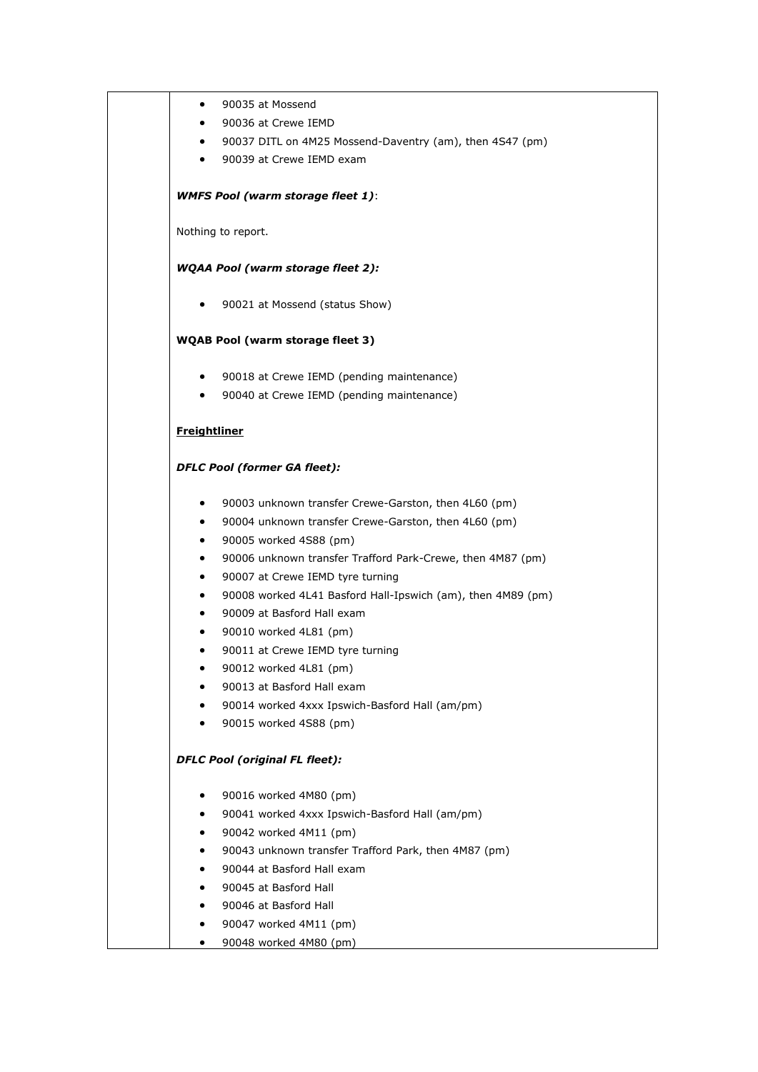|                     | 90035 at Mossend                                            |
|---------------------|-------------------------------------------------------------|
|                     | 90036 at Crewe IEMD                                         |
| $\bullet$           | 90037 DITL on 4M25 Mossend-Daventry (am), then 4S47 (pm)    |
| $\bullet$           | 90039 at Crewe IEMD exam                                    |
|                     | <b>WMFS Pool (warm storage fleet 1):</b>                    |
|                     | Nothing to report.                                          |
|                     | WQAA Pool (warm storage fleet 2):                           |
|                     | 90021 at Mossend (status Show)                              |
|                     | <b>WQAB Pool (warm storage fleet 3)</b>                     |
| ٠                   | 90018 at Crewe IEMD (pending maintenance)                   |
| $\bullet$           | 90040 at Crewe IEMD (pending maintenance)                   |
| <b>Freightliner</b> |                                                             |
|                     | <b>DFLC Pool (former GA fleet):</b>                         |
| $\bullet$           | 90003 unknown transfer Crewe-Garston, then 4L60 (pm)        |
| ٠                   | 90004 unknown transfer Crewe-Garston, then 4L60 (pm)        |
| ٠                   | 90005 worked 4S88 (pm)                                      |
|                     | 90006 unknown transfer Trafford Park-Crewe, then 4M87 (pm)  |
| ٠                   | 90007 at Crewe IEMD tyre turning                            |
|                     | 90008 worked 4L41 Basford Hall-Ipswich (am), then 4M89 (pm) |
|                     | 90009 at Basford Hall exam                                  |
|                     | 90010 worked 4L81 (pm)                                      |
|                     | 90011 at Crewe IEMD tyre turning                            |
|                     | 90012 worked 4L81 (pm)                                      |
|                     | 90013 at Basford Hall exam                                  |
|                     | 90014 worked 4xxx Ipswich-Basford Hall (am/pm)              |
|                     | 90015 worked 4S88 (pm)                                      |
|                     | <b>DFLC Pool (original FL fleet):</b>                       |
|                     | 90016 worked 4M80 (pm)                                      |
|                     | 90041 worked 4xxx Ipswich-Basford Hall (am/pm)              |
|                     | 90042 worked 4M11 (pm)                                      |
|                     | 90043 unknown transfer Trafford Park, then 4M87 (pm)        |
|                     | 90044 at Basford Hall exam                                  |
|                     | 90045 at Basford Hall                                       |
|                     | 90046 at Basford Hall                                       |
|                     | 90047 worked 4M11 (pm)                                      |
|                     | 90048 worked 4M80 (pm)                                      |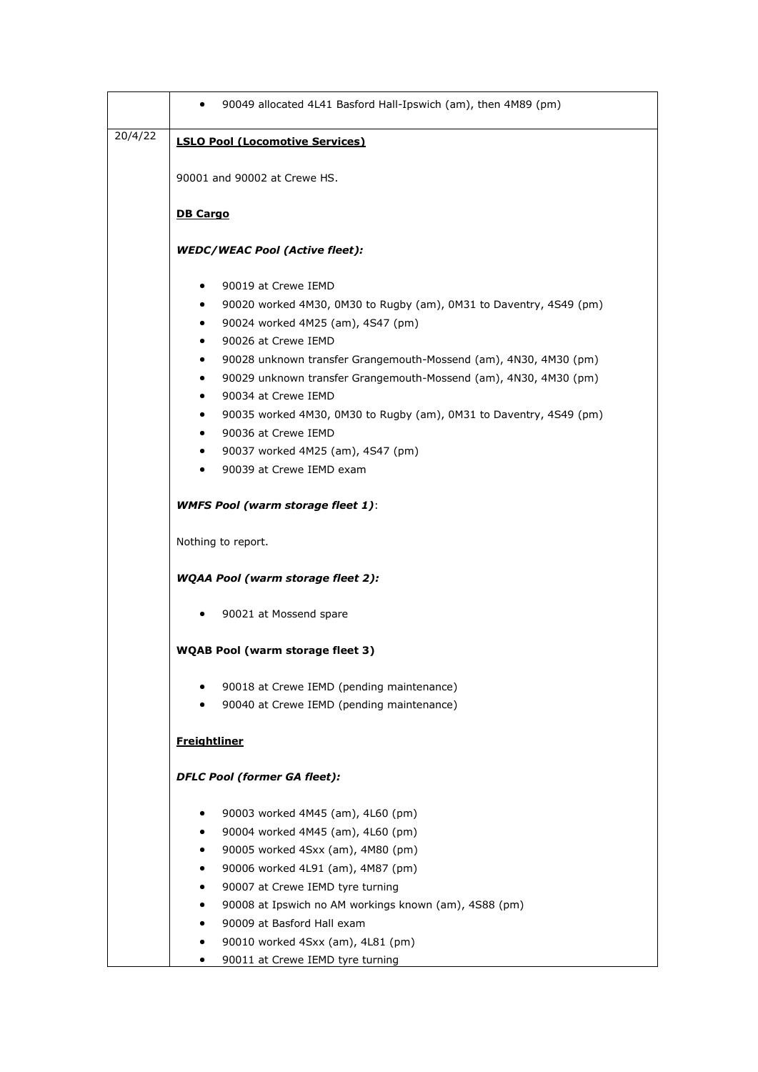|         | 90049 allocated 4L41 Basford Hall-Ipswich (am), then 4M89 (pm)<br>$\bullet$                                                                                                                                                                                                                                                                                                                                                                                                                                                                                             |
|---------|-------------------------------------------------------------------------------------------------------------------------------------------------------------------------------------------------------------------------------------------------------------------------------------------------------------------------------------------------------------------------------------------------------------------------------------------------------------------------------------------------------------------------------------------------------------------------|
| 20/4/22 | <b>LSLO Pool (Locomotive Services)</b>                                                                                                                                                                                                                                                                                                                                                                                                                                                                                                                                  |
|         | 90001 and 90002 at Crewe HS.                                                                                                                                                                                                                                                                                                                                                                                                                                                                                                                                            |
|         | <b>DB Cargo</b>                                                                                                                                                                                                                                                                                                                                                                                                                                                                                                                                                         |
|         | <b>WEDC/WEAC Pool (Active fleet):</b>                                                                                                                                                                                                                                                                                                                                                                                                                                                                                                                                   |
|         | 90019 at Crewe IEMD<br>٠<br>90020 worked 4M30, 0M30 to Rugby (am), 0M31 to Daventry, 4S49 (pm)<br>$\bullet$<br>90024 worked 4M25 (am), 4S47 (pm)<br>$\bullet$<br>90026 at Crewe IEMD<br>٠<br>90028 unknown transfer Grangemouth-Mossend (am), 4N30, 4M30 (pm)<br>٠<br>90029 unknown transfer Grangemouth-Mossend (am), 4N30, 4M30 (pm)<br>٠<br>90034 at Crewe IEMD<br>$\bullet$<br>90035 worked 4M30, 0M30 to Rugby (am), 0M31 to Daventry, 4S49 (pm)<br>$\bullet$<br>90036 at Crewe IEMD<br>$\bullet$<br>90037 worked 4M25 (am), 4S47 (pm)<br>90039 at Crewe IEMD exam |
|         | <b>WMFS Pool (warm storage fleet 1):</b>                                                                                                                                                                                                                                                                                                                                                                                                                                                                                                                                |
|         | Nothing to report.                                                                                                                                                                                                                                                                                                                                                                                                                                                                                                                                                      |
|         | <b>WQAA Pool (warm storage fleet 2):</b>                                                                                                                                                                                                                                                                                                                                                                                                                                                                                                                                |
|         | 90021 at Mossend spare                                                                                                                                                                                                                                                                                                                                                                                                                                                                                                                                                  |
|         | <b>WQAB Pool (warm storage fleet 3)</b>                                                                                                                                                                                                                                                                                                                                                                                                                                                                                                                                 |
|         | 90018 at Crewe IEMD (pending maintenance)<br>90040 at Crewe IEMD (pending maintenance)                                                                                                                                                                                                                                                                                                                                                                                                                                                                                  |
|         | <b>Freightliner</b>                                                                                                                                                                                                                                                                                                                                                                                                                                                                                                                                                     |
|         | <b>DFLC Pool (former GA fleet):</b>                                                                                                                                                                                                                                                                                                                                                                                                                                                                                                                                     |
|         | 90003 worked 4M45 (am), 4L60 (pm)<br>٠<br>90004 worked 4M45 (am), 4L60 (pm)<br>90005 worked 4Sxx (am), 4M80 (pm)<br>٠<br>90006 worked 4L91 (am), 4M87 (pm)<br>٠<br>90007 at Crewe IEMD tyre turning<br>٠<br>90008 at Ipswich no AM workings known (am), 4S88 (pm)<br>٠                                                                                                                                                                                                                                                                                                  |
|         | 90009 at Basford Hall exam<br>90010 worked 4Sxx (am), 4L81 (pm)<br>٠<br>90011 at Crewe IEMD tyre turning<br>٠                                                                                                                                                                                                                                                                                                                                                                                                                                                           |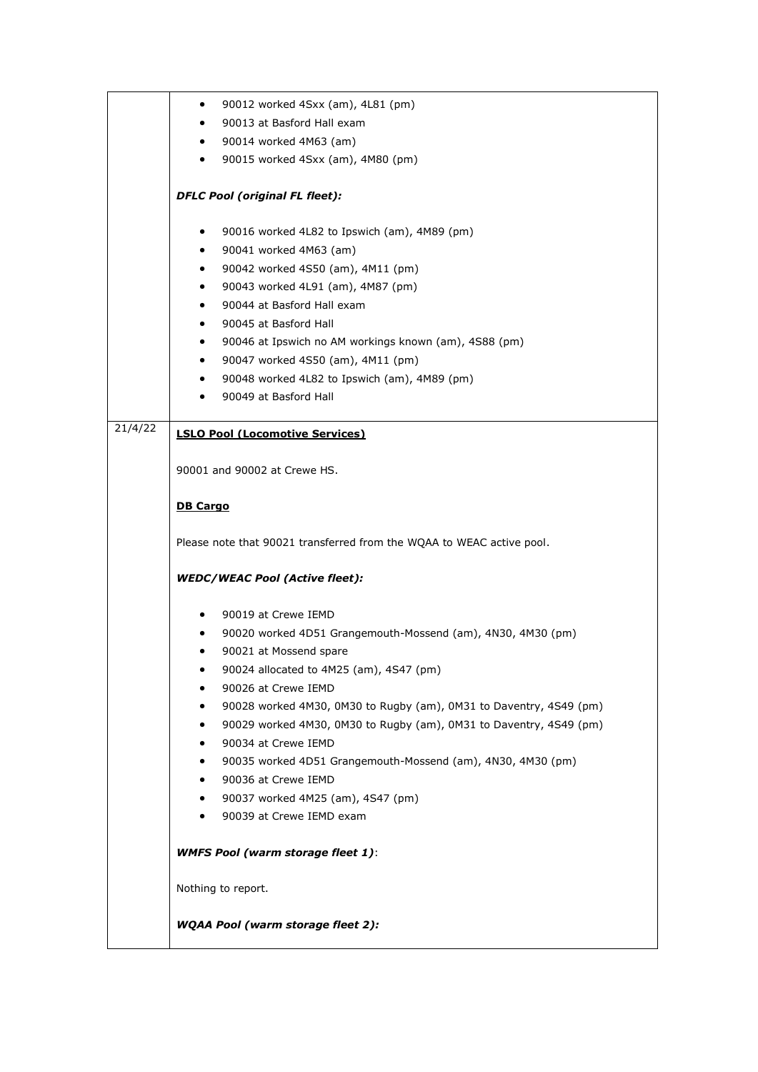|         | 90012 worked 4Sxx (am), 4L81 (pm)<br>٠                                  |
|---------|-------------------------------------------------------------------------|
|         | 90013 at Basford Hall exam<br>٠                                         |
|         | 90014 worked 4M63 (am)<br>٠                                             |
|         | 90015 worked 4Sxx (am), 4M80 (pm)<br>$\bullet$                          |
|         |                                                                         |
|         | <b>DFLC Pool (original FL fleet):</b>                                   |
|         | 90016 worked 4L82 to Ipswich (am), 4M89 (pm)<br>٠                       |
|         | 90041 worked 4M63 (am)<br>٠                                             |
|         | 90042 worked 4S50 (am), 4M11 (pm)                                       |
|         | 90043 worked 4L91 (am), 4M87 (pm)<br>٠                                  |
|         | 90044 at Basford Hall exam<br>٠                                         |
|         | 90045 at Basford Hall<br>٠                                              |
|         | 90046 at Ipswich no AM workings known (am), 4S88 (pm)<br>٠              |
|         | 90047 worked 4S50 (am), 4M11 (pm)                                       |
|         | 90048 worked 4L82 to Ipswich (am), 4M89 (pm)<br>٠                       |
|         | 90049 at Basford Hall<br>٠                                              |
| 21/4/22 |                                                                         |
|         | <b>LSLO Pool (Locomotive Services)</b>                                  |
|         | 90001 and 90002 at Crewe HS.                                            |
|         |                                                                         |
|         | <b>DB Cargo</b>                                                         |
|         | Please note that 90021 transferred from the WQAA to WEAC active pool.   |
|         | <b>WEDC/WEAC Pool (Active fleet):</b>                                   |
|         |                                                                         |
|         | 90019 at Crewe IEMD<br>٠                                                |
|         | 90020 worked 4D51 Grangemouth-Mossend (am), 4N30, 4M30 (pm)<br>٠        |
|         | 90021 at Mossend spare                                                  |
|         | 90024 allocated to 4M25 (am), 4S47 (pm)                                 |
|         | 90026 at Crewe IEMD                                                     |
|         | 90028 worked 4M30, 0M30 to Rugby (am), 0M31 to Daventry, 4S49 (pm)<br>٠ |
|         | 90029 worked 4M30, 0M30 to Rugby (am), 0M31 to Daventry, 4S49 (pm)<br>٠ |
|         | 90034 at Crewe IEMD                                                     |
|         | 90035 worked 4D51 Grangemouth-Mossend (am), 4N30, 4M30 (pm)<br>٠        |
|         | 90036 at Crewe IEMD<br>٠                                                |
|         | 90037 worked 4M25 (am), 4S47 (pm)<br>٠                                  |
|         | 90039 at Crewe IEMD exam<br>٠                                           |
|         | <b>WMFS Pool (warm storage fleet 1):</b>                                |
|         |                                                                         |
|         | Nothing to report.                                                      |
|         | <b>WQAA Pool (warm storage fleet 2):</b>                                |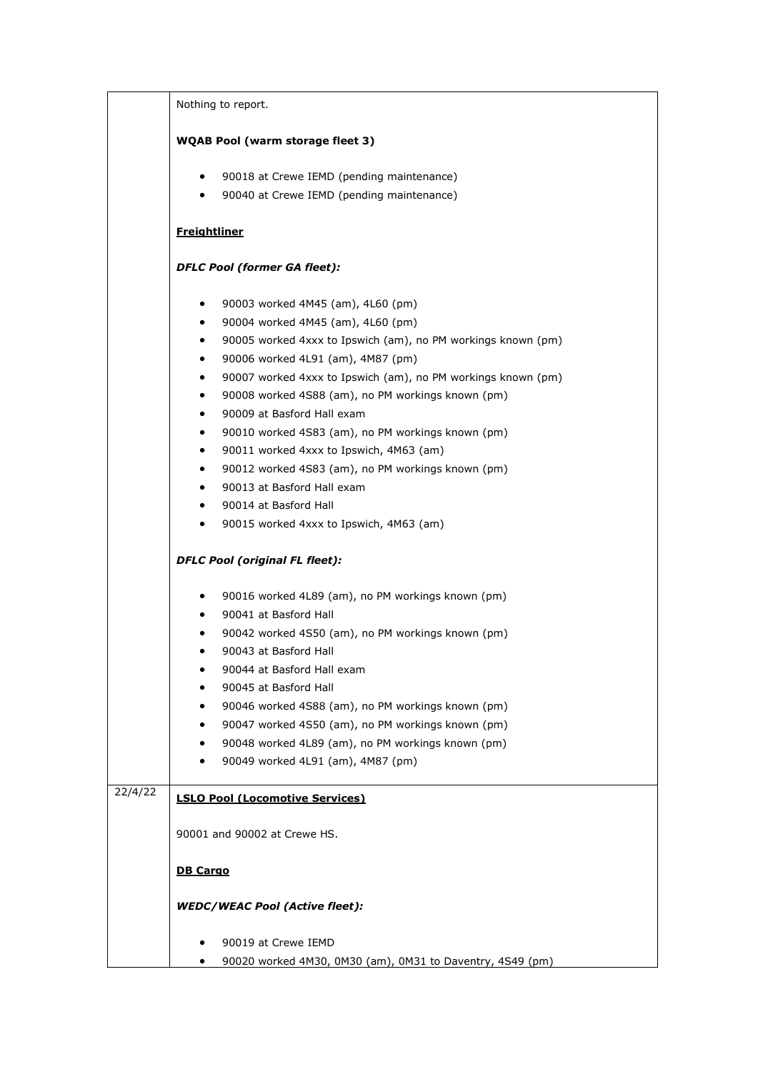|         | Nothing to report.                                                        |
|---------|---------------------------------------------------------------------------|
|         | <b>WQAB Pool (warm storage fleet 3)</b>                                   |
|         | 90018 at Crewe IEMD (pending maintenance)<br>$\bullet$                    |
|         | 90040 at Crewe IEMD (pending maintenance)<br>$\bullet$                    |
|         |                                                                           |
|         | <b>Freightliner</b>                                                       |
|         | <b>DFLC Pool (former GA fleet):</b>                                       |
|         | 90003 worked 4M45 (am), 4L60 (pm)<br>٠                                    |
|         | 90004 worked 4M45 (am), 4L60 (pm)<br>$\bullet$                            |
|         | 90005 worked 4xxx to Ipswich (am), no PM workings known (pm)<br>$\bullet$ |
|         | 90006 worked 4L91 (am), 4M87 (pm)<br>٠                                    |
|         | 90007 worked 4xxx to Ipswich (am), no PM workings known (pm)<br>$\bullet$ |
|         | 90008 worked 4S88 (am), no PM workings known (pm)<br>$\bullet$            |
|         | 90009 at Basford Hall exam<br>$\bullet$                                   |
|         | 90010 worked 4S83 (am), no PM workings known (pm)<br>$\bullet$            |
|         | 90011 worked 4xxx to Ipswich, 4M63 (am)                                   |
|         | 90012 worked 4S83 (am), no PM workings known (pm)<br>$\bullet$            |
|         | 90013 at Basford Hall exam<br>$\bullet$                                   |
|         | 90014 at Basford Hall<br>$\bullet$                                        |
|         | 90015 worked 4xxx to Ipswich, 4M63 (am)<br>$\bullet$                      |
|         | <b>DFLC Pool (original FL fleet):</b>                                     |
|         | 90016 worked 4L89 (am), no PM workings known (pm)<br>$\bullet$            |
|         | 90041 at Basford Hall<br>$\bullet$                                        |
|         | 90042 worked 4S50 (am), no PM workings known (pm)<br>٠                    |
|         | 90043 at Basford Hall<br>٠                                                |
|         | 90044 at Basford Hall exam                                                |
|         | 90045 at Basford Hall                                                     |
|         | 90046 worked 4S88 (am), no PM workings known (pm)                         |
|         | 90047 worked 4S50 (am), no PM workings known (pm)<br>٠                    |
|         | 90048 worked 4L89 (am), no PM workings known (pm)<br>٠                    |
|         | 90049 worked 4L91 (am), 4M87 (pm)<br>٠                                    |
| 22/4/22 | <b>LSLO Pool (Locomotive Services)</b>                                    |
|         | 90001 and 90002 at Crewe HS.                                              |
|         |                                                                           |
|         | <b>DB Cargo</b>                                                           |
|         | <b>WEDC/WEAC Pool (Active fleet):</b>                                     |
|         |                                                                           |
|         | 90019 at Crewe IEMD                                                       |
|         | 90020 worked 4M30, 0M30 (am), 0M31 to Daventry, 4S49 (pm)<br>٠            |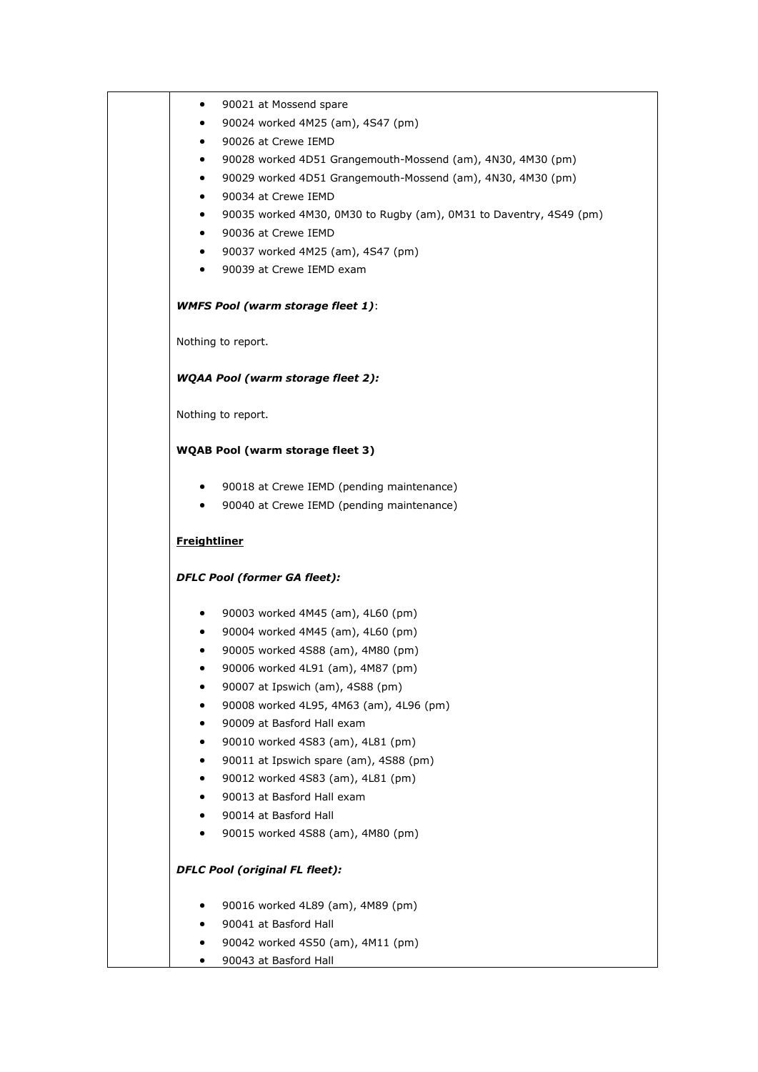| ٠                   | 90021 at Mossend spare                                             |
|---------------------|--------------------------------------------------------------------|
| $\bullet$           | 90024 worked 4M25 (am), 4S47 (pm)                                  |
| $\bullet$           | 90026 at Crewe IEMD                                                |
|                     | 90028 worked 4D51 Grangemouth-Mossend (am), 4N30, 4M30 (pm)        |
| $\bullet$           | 90029 worked 4D51 Grangemouth-Mossend (am), 4N30, 4M30 (pm)        |
| $\bullet$           | 90034 at Crewe IEMD                                                |
| $\bullet$           | 90035 worked 4M30, 0M30 to Rugby (am), 0M31 to Daventry, 4S49 (pm) |
| $\bullet$           | 90036 at Crewe IEMD                                                |
| $\bullet$           | 90037 worked 4M25 (am), 4S47 (pm)                                  |
| $\bullet$           | 90039 at Crewe IEMD exam                                           |
|                     | <b>WMFS Pool (warm storage fleet 1):</b>                           |
|                     | Nothing to report.                                                 |
|                     | <b>WQAA Pool (warm storage fleet 2):</b>                           |
|                     | Nothing to report.                                                 |
|                     | <b>WQAB Pool (warm storage fleet 3)</b>                            |
| $\bullet$           | 90018 at Crewe IEMD (pending maintenance)                          |
| $\bullet$           | 90040 at Crewe IEMD (pending maintenance)                          |
| <b>Freightliner</b> |                                                                    |
|                     | <b>DFLC Pool (former GA fleet):</b>                                |
| $\bullet$           | 90003 worked 4M45 (am), 4L60 (pm)                                  |
| $\bullet$           | 90004 worked 4M45 (am), 4L60 (pm)                                  |
| ٠                   | 90005 worked 4S88 (am), 4M80 (pm)                                  |
| ٠                   | 90006 worked 4L91 (am), 4M87 (pm)                                  |
|                     | 90007 at Ipswich (am), 4S88 (pm)                                   |
|                     | 90008 worked 4L95, 4M63 (am), 4L96 (pm)                            |
| $\bullet$           | 90009 at Basford Hall exam                                         |
| ٠                   | 90010 worked 4S83 (am), 4L81 (pm)                                  |
| ٠                   | 90011 at Ipswich spare (am), 4S88 (pm)                             |
|                     | 90012 worked 4S83 (am), 4L81 (pm)                                  |
|                     | 90013 at Basford Hall exam                                         |
| $\bullet$           | 90014 at Basford Hall                                              |
|                     | 90015 worked 4S88 (am), 4M80 (pm)                                  |
|                     | <b>DFLC Pool (original FL fleet):</b>                              |
| ٠                   | 90016 worked 4L89 (am), 4M89 (pm)                                  |
|                     | 90041 at Basford Hall                                              |
|                     | 90042 worked 4S50 (am), 4M11 (pm)                                  |
|                     | 90043 at Basford Hall                                              |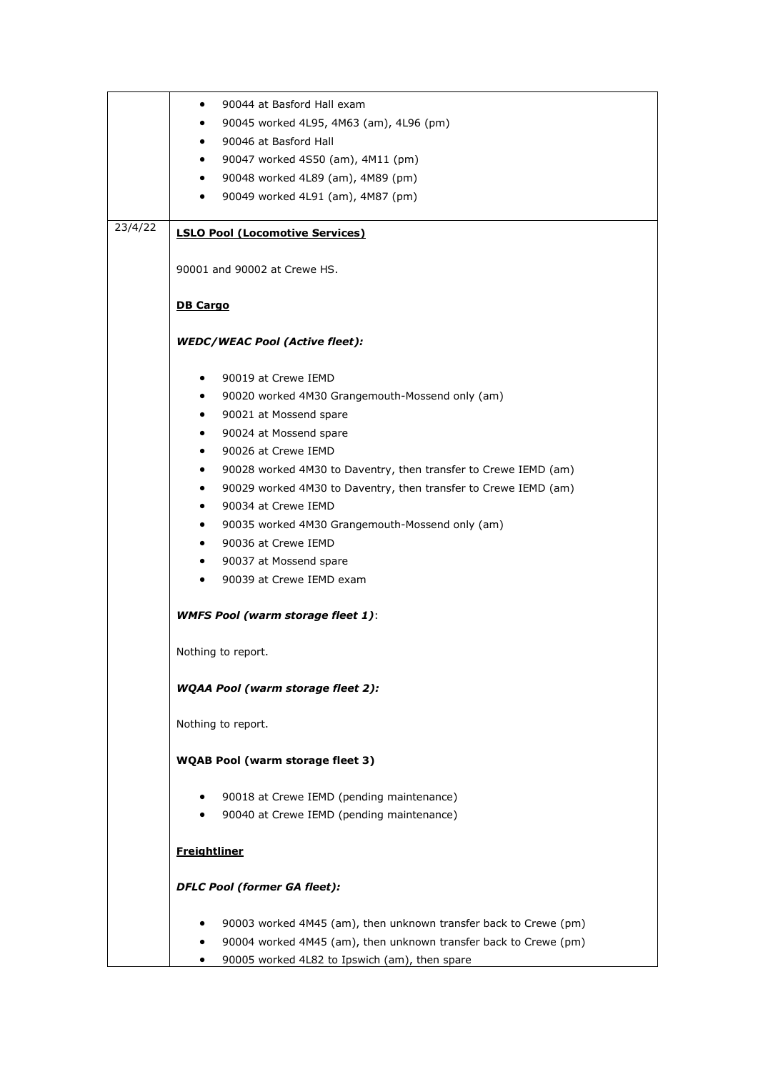|         | 90044 at Basford Hall exam<br>٠                                              |
|---------|------------------------------------------------------------------------------|
|         | 90045 worked 4L95, 4M63 (am), 4L96 (pm)<br>$\bullet$                         |
|         | 90046 at Basford Hall<br>$\bullet$                                           |
|         | 90047 worked 4S50 (am), 4M11 (pm)<br>٠                                       |
|         | 90048 worked 4L89 (am), 4M89 (pm)<br>$\bullet$                               |
|         | 90049 worked 4L91 (am), 4M87 (pm)<br>$\bullet$                               |
|         |                                                                              |
| 23/4/22 |                                                                              |
|         | <b>LSLO Pool (Locomotive Services)</b>                                       |
|         |                                                                              |
|         | 90001 and 90002 at Crewe HS.                                                 |
|         |                                                                              |
|         | <b>DB Cargo</b>                                                              |
|         |                                                                              |
|         | <b>WEDC/WEAC Pool (Active fleet):</b>                                        |
|         |                                                                              |
|         | 90019 at Crewe IEMD<br>$\bullet$                                             |
|         |                                                                              |
|         | 90020 worked 4M30 Grangemouth-Mossend only (am)<br>$\bullet$                 |
|         | 90021 at Mossend spare<br>$\bullet$                                          |
|         | 90024 at Mossend spare<br>$\bullet$                                          |
|         | 90026 at Crewe IEMD<br>$\bullet$                                             |
|         | 90028 worked 4M30 to Daventry, then transfer to Crewe IEMD (am)<br>$\bullet$ |
|         | 90029 worked 4M30 to Daventry, then transfer to Crewe IEMD (am)<br>٠         |
|         | 90034 at Crewe IEMD<br>$\bullet$                                             |
|         |                                                                              |
|         | 90035 worked 4M30 Grangemouth-Mossend only (am)<br>$\bullet$                 |
|         | 90036 at Crewe IEMD<br>$\bullet$                                             |
|         | 90037 at Mossend spare<br>$\bullet$                                          |
|         | 90039 at Crewe IEMD exam<br>$\bullet$                                        |
|         |                                                                              |
|         | <b>WMFS Pool (warm storage fleet 1):</b>                                     |
|         |                                                                              |
|         | Nothing to report.                                                           |
|         |                                                                              |
|         |                                                                              |
|         | <b>WQAA Pool (warm storage fleet 2):</b>                                     |
|         |                                                                              |
|         | Nothing to report.                                                           |
|         |                                                                              |
|         | <b>WQAB Pool (warm storage fleet 3)</b>                                      |
|         |                                                                              |
|         | 90018 at Crewe IEMD (pending maintenance)                                    |
|         | 90040 at Crewe IEMD (pending maintenance)                                    |
|         |                                                                              |
|         | <b>Freightliner</b>                                                          |
|         |                                                                              |
|         |                                                                              |
|         | <b>DFLC Pool (former GA fleet):</b>                                          |
|         |                                                                              |
|         | 90003 worked 4M45 (am), then unknown transfer back to Crewe (pm)             |
|         | 90004 worked 4M45 (am), then unknown transfer back to Crewe (pm)             |
|         | 90005 worked 4L82 to Ipswich (am), then spare                                |